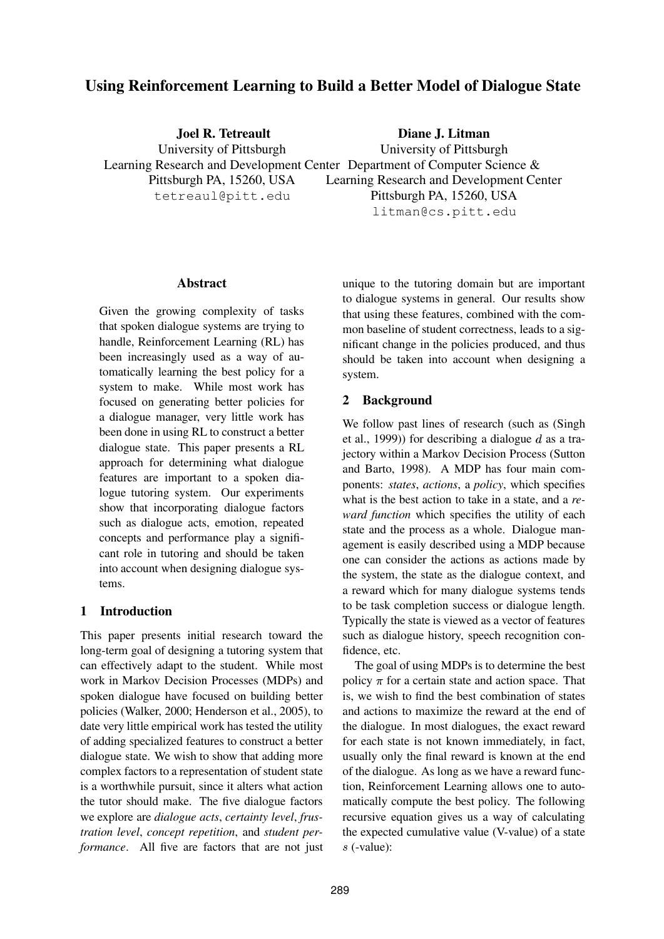# **Using Reinforcement Learning to Build a Better Model of Dialogue State**

**Joel R. Tetreault** University of Pittsburgh Learning Research and Development Center Department of Computer Science & Pittsburgh PA, 15260, USA tetreaul@pitt.edu **Diane J. Litman** University of Pittsburgh Learning Research and Development Center Pittsburgh PA, 15260, USA

litman@cs.pitt.edu

### **Abstract**

Given the growing complexity of tasks that spoken dialogue systems are trying to handle, Reinforcement Learning (RL) has been increasingly used as a way of automatically learning the best policy for a system to make. While most work has focused on generating better policies for a dialogue manager, very little work has been done in using RL to construct a better dialogue state. This paper presents a RL approach for determining what dialogue features are important to a spoken dialogue tutoring system. Our experiments show that incorporating dialogue factors such as dialogue acts, emotion, repeated concepts and performance play a significant role in tutoring and should be taken into account when designing dialogue systems.

# **1 Introduction**

This paper presents initial research toward the long-term goal of designing a tutoring system that can effectively adapt to the student. While most work in Markov Decision Processes (MDPs) and spoken dialogue have focused on building better policies (Walker, 2000; Henderson et al., 2005), to date very little empirical work has tested the utility of adding specialized features to construct a better dialogue state. We wish to show that adding more complex factors to a representation of student state is a worthwhile pursuit, since it alters what action the tutor should make. The five dialogue factors we explore are *dialogue acts*, *certainty level*, *frustration level*, *concept repetition*, and *student performance*. All five are factors that are not just unique to the tutoring domain but are important to dialogue systems in general. Our results show that using these features, combined with the common baseline of student correctness, leads to a significant change in the policies produced, and thus should be taken into account when designing a system.

### **2 Background**

We follow past lines of research (such as (Singh et al., 1999)) for describing a dialogue  $d$  as a trajectory within a Markov Decision Process (Sutton and Barto, 1998). A MDP has four main components: *states*, *actions*, a *policy*, which specifies what is the best action to take in a state, and a *reward function* which specifies the utility of each state and the process as a whole. Dialogue management is easily described using a MDP because one can consider the actions as actions made by the system, the state as the dialogue context, and a reward which for many dialogue systems tends to be task completion success or dialogue length. Typically the state is viewed as a vector of features such as dialogue history, speech recognition confidence, etc.

The goal of using MDPs is to determine the best policy  $\pi$  for a certain state and action space. That is, we wish to find the best combination of states and actions to maximize the reward at the end of the dialogue. In most dialogues, the exact reward for each state is not known immediately, in fact, usually only the final reward is known at the end of the dialogue. As long as we have a reward function, Reinforcement Learning allows one to automatically compute the best policy. The following recursive equation gives us a way of calculating the expected cumulative value (V-value) of a state s (-value):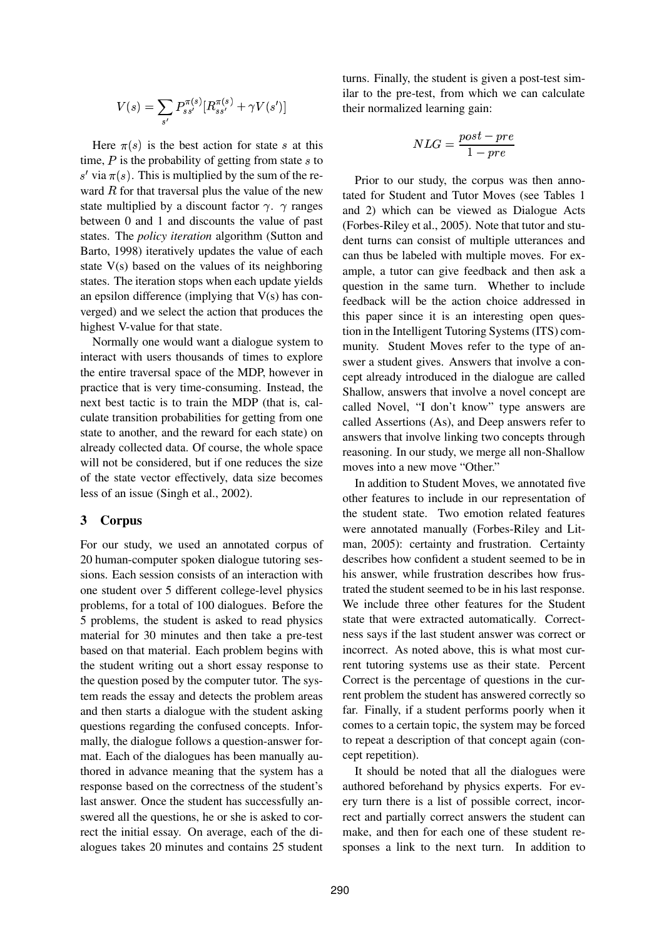$$
V(s) = \sum_{s'} P_{ss'}^{\pi(s)} [R_{ss'}^{\pi(s)} + \gamma V(s')]
$$

Here  $\pi(s)$  is the best action for state s at this time,  $P$  is the probability of getting from state  $s$  to s' via  $\pi(s)$ . This is multiplied by the sum of the reward  $R$  for that traversal plus the value of the new state multiplied by a discount factor  $\gamma$ .  $\gamma$  ranges between 0 and 1 and discounts the value of past states. The *policy iteration* algorithm (Sutton and Barto, 1998) iteratively updates the value of each state V(s) based on the values of its neighboring states. The iteration stops when each update yields an epsilon difference (implying that  $V(s)$  has converged) and we select the action that produces the highest V-value for that state.

Normally one would want a dialogue system to interact with users thousands of times to explore the entire traversal space of the MDP, however in practice that is very time-consuming. Instead, the next best tactic is to train the MDP (that is, calculate transition probabilities for getting from one state to another, and the reward for each state) on already collected data. Of course, the whole space will not be considered, but if one reduces the size of the state vector effectively, data size becomes less of an issue (Singh et al., 2002).

### **3 Corpus**

For our study, we used an annotated corpus of 20 human-computer spoken dialogue tutoring sessions. Each session consists of an interaction with one student over 5 different college-level physics problems, for a total of 100 dialogues. Before the 5 problems, the student is asked to read physics material for 30 minutes and then take a pre-test based on that material. Each problem begins with the student writing out a short essay response to the question posed by the computer tutor. The system reads the essay and detects the problem areas and then starts a dialogue with the student asking questions regarding the confused concepts. Informally, the dialogue follows a question-answer format. Each of the dialogues has been manually authored in advance meaning that the system has a response based on the correctness of the student's last answer. Once the student has successfully answered all the questions, he or she is asked to correct the initial essay. On average, each of the dialogues takes 20 minutes and contains 25 student turns. Finally, the student is given a post-test similar to the pre-test, from which we can calculate their normalized learning gain:

$$
NLG = \frac{post - pre}{1 - pre}
$$

Prior to our study, the corpus was then annotated for Student and Tutor Moves (see Tables 1 and 2) which can be viewed as Dialogue Acts (Forbes-Riley et al., 2005). Note that tutor and student turns can consist of multiple utterances and can thus be labeled with multiple moves. For example, a tutor can give feedback and then ask a question in the same turn. Whether to include feedback will be the action choice addressed in this paper since it is an interesting open question in the Intelligent Tutoring Systems (ITS) community. Student Moves refer to the type of answer a student gives. Answers that involve a concept already introduced in the dialogue are called Shallow, answers that involve a novel concept are called Novel, "I don't know" type answers are called Assertions (As), and Deep answers refer to answers that involve linking two concepts through reasoning. In our study, we merge all non-Shallow moves into a new move "Other."

In addition to Student Moves, we annotated five other features to include in our representation of the student state. Two emotion related features were annotated manually (Forbes-Riley and Litman, 2005): certainty and frustration. Certainty describes how confident a student seemed to be in his answer, while frustration describes how frustrated the student seemed to be in his last response. We include three other features for the Student state that were extracted automatically. Correctness says if the last student answer was correct or incorrect. As noted above, this is what most current tutoring systems use as their state. Percent Correct is the percentage of questions in the current problem the student has answered correctly so far. Finally, if a student performs poorly when it comes to a certain topic, the system may be forced to repeat a description of that concept again (concept repetition).

It should be noted that all the dialogues were authored beforehand by physics experts. For every turn there is a list of possible correct, incorrect and partially correct answers the student can make, and then for each one of these student responses a link to the next turn. In addition to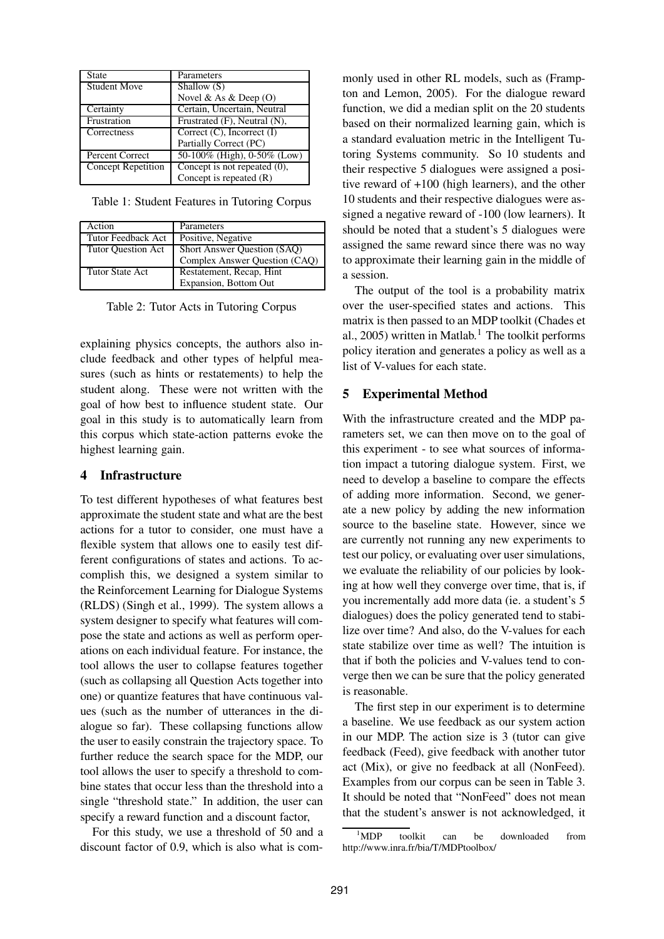| State               | Parameters                      |
|---------------------|---------------------------------|
| <b>Student Move</b> | Shallow (S)                     |
|                     | Novel & As & Deep $(O)$         |
| Certainty           | Certain, Uncertain, Neutral     |
| Frustration         | Frustrated (F), Neutral (N),    |
| Correctness         | Correct $(C)$ , Incorrect $(I)$ |
|                     | Partially Correct (PC)          |
| Percent Correct     | 50-100% (High), 0-50% (Low)     |
| Concept Repetition  | Concept is not repeated $(0)$ , |
|                     | Concept is repeated $(R)$       |

Table 1: Student Features in Tutoring Corpus

| Action                    | Parameters                    |  |
|---------------------------|-------------------------------|--|
| Tutor Feedback Act        | Positive, Negative            |  |
| <b>Tutor Ouestion Act</b> | Short Answer Question (SAQ)   |  |
|                           | Complex Answer Question (CAQ) |  |
| <b>Tutor State Act</b>    | Restatement, Recap, Hint      |  |
|                           | Expansion, Bottom Out         |  |

Table 2: Tutor Acts in Tutoring Corpus

explaining physics concepts, the authors also include feedback and other types of helpful measures (such as hints or restatements) to help the student along. These were not written with the goal of how best to influence student state. Our goal in this study is to automatically learn from this corpus which state-action patterns evoke the highest learning gain.

### **4 Infrastructure**

To test different hypotheses of what features best approximate the student state and what are the best actions for a tutor to consider, one must have a flexible system that allows one to easily test different configurations of states and actions. To accomplish this, we designed a system similar to the Reinforcement Learning for Dialogue Systems (RLDS) (Singh et al., 1999). The system allows a system designer to specify what features will compose the state and actions as well as perform operations on each individual feature. For instance, the tool allows the user to collapse features together (such as collapsing all Question Acts together into one) or quantize features that have continuous values (such as the number of utterances in the dialogue so far). These collapsing functions allow the user to easily constrain the trajectory space. To further reduce the search space for the MDP, our tool allows the user to specify a threshold to combine states that occur less than the threshold into a single "threshold state." In addition, the user can specify a reward function and a discount factor,

For this study, we use a threshold of 50 and a discount factor of 0.9, which is also what is commonly used in other RL models, such as (Frampton and Lemon, 2005). For the dialogue reward function, we did a median split on the 20 students based on their normalized learning gain, which is a standard evaluation metric in the Intelligent Tutoring Systems community. So 10 students and their respective 5 dialogues were assigned a positive reward of +100 (high learners), and the other 10 students and their respective dialogues were assigned a negative reward of -100 (low learners). It should be noted that a student's 5 dialogues were assigned the same reward since there was no way to approximate their learning gain in the middle of a session.

The output of the tool is a probability matrix over the user-specified states and actions. This matrix is then passed to an MDP toolkit (Chades et al., 2005) written in Matlab.<sup>1</sup> The toolkit performs policy iteration and generates a policy as well as a list of V-values for each state.

### **5 Experimental Method**

With the infrastructure created and the MDP parameters set, we can then move on to the goal of this experiment - to see what sources of information impact a tutoring dialogue system. First, we need to develop a baseline to compare the effects of adding more information. Second, we generate a new policy by adding the new information source to the baseline state. However, since we are currently not running any new experiments to test our policy, or evaluating over user simulations, we evaluate the reliability of our policies by looking at how well they converge over time, that is, if you incrementally add more data (ie. a student's 5 dialogues) does the policy generated tend to stabilize over time? And also, do the V-values for each state stabilize over time as well? The intuition is that if both the policies and V-values tend to converge then we can be sure that the policy generated is reasonable.

The first step in our experiment is to determine a baseline. We use feedback as our system action in our MDP. The action size is 3 (tutor can give feedback (Feed), give feedback with another tutor act (Mix), or give no feedback at all (NonFeed). Examples from our corpus can be seen in Table 3. It should be noted that "NonFeed" does not mean that the student's answer is not acknowledged, it

<sup>&</sup>lt;sup>1</sup>MDP toolkit can be downloaded from http://www.inra.fr/bia/T/MDPtoolbox/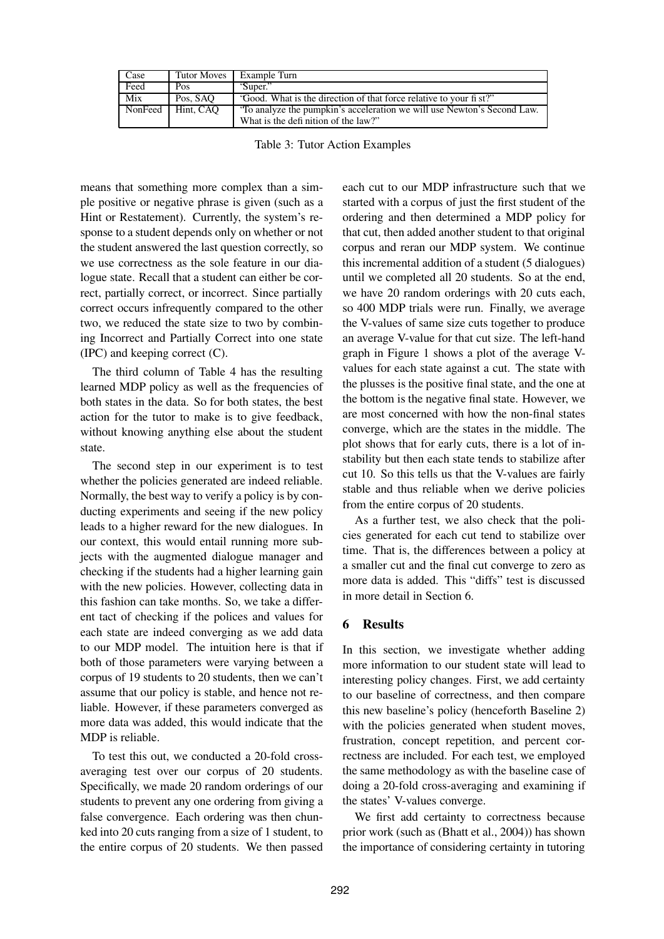| Case    | Tutor Moves | Example Turn                                                                                                  |
|---------|-------------|---------------------------------------------------------------------------------------------------------------|
| Feed    | Pos         | 'Super."                                                                                                      |
| Mix     | Pos. SAO    | "Good. What is the direction of that force relative to your fi st?"                                           |
| NonFeed | Hint, CAO   | To analyze the pumpkin's acceleration we will use Newton's Second Law.<br>What is the definition of the law?" |

Table 3: Tutor Action Examples

means that something more complex than a simple positive or negative phrase is given (such as a Hint or Restatement). Currently, the system's response to a student depends only on whether or not the student answered the last question correctly, so we use correctness as the sole feature in our dialogue state. Recall that a student can either be correct, partially correct, or incorrect. Since partially correct occurs infrequently compared to the other two, we reduced the state size to two by combining Incorrect and Partially Correct into one state (IPC) and keeping correct (C).

The third column of Table 4 has the resulting learned MDP policy as well as the frequencies of both states in the data. So for both states, the best action for the tutor to make is to give feedback, without knowing anything else about the student state.

The second step in our experiment is to test whether the policies generated are indeed reliable. Normally, the best way to verify a policy is by conducting experiments and seeing if the new policy leads to a higher reward for the new dialogues. In our context, this would entail running more subjects with the augmented dialogue manager and checking if the students had a higher learning gain with the new policies. However, collecting data in this fashion can take months. So, we take a different tact of checking if the polices and values for each state are indeed converging as we add data to our MDP model. The intuition here is that if both of those parameters were varying between a corpus of 19 students to 20 students, then we can't assume that our policy is stable, and hence not reliable. However, if these parameters converged as more data was added, this would indicate that the MDP is reliable.

To test this out, we conducted a 20-fold crossaveraging test over our corpus of 20 students. Specifically, we made 20 random orderings of our students to prevent any one ordering from giving a false convergence. Each ordering was then chunked into 20 cuts ranging from a size of 1 student, to the entire corpus of 20 students. We then passed

each cut to our MDP infrastructure such that we started with a corpus of just the first student of the ordering and then determined a MDP policy for that cut, then added another student to that original corpus and reran our MDP system. We continue this incremental addition of a student (5 dialogues) until we completed all 20 students. So at the end, we have 20 random orderings with 20 cuts each, so 400 MDP trials were run. Finally, we average the V-values of same size cuts together to produce an average V-value for that cut size. The left-hand graph in Figure 1 shows a plot of the average Vvalues for each state against a cut. The state with the plusses is the positive final state, and the one at the bottom is the negative final state. However, we are most concerned with how the non-final states converge, which are the states in the middle. The plot shows that for early cuts, there is a lot of instability but then each state tends to stabilize after cut 10. So this tells us that the V-values are fairly stable and thus reliable when we derive policies from the entire corpus of 20 students.

As a further test, we also check that the policies generated for each cut tend to stabilize over time. That is, the differences between a policy at a smaller cut and the final cut converge to zero as more data is added. This "diffs" test is discussed in more detail in Section 6.

# **6 Results**

In this section, we investigate whether adding more information to our student state will lead to interesting policy changes. First, we add certainty to our baseline of correctness, and then compare this new baseline's policy (henceforth Baseline 2) with the policies generated when student moves, frustration, concept repetition, and percent correctness are included. For each test, we employed the same methodology as with the baseline case of doing a 20-fold cross-averaging and examining if the states' V-values converge.

We first add certainty to correctness because prior work (such as (Bhatt et al., 2004)) has shown the importance of considering certainty in tutoring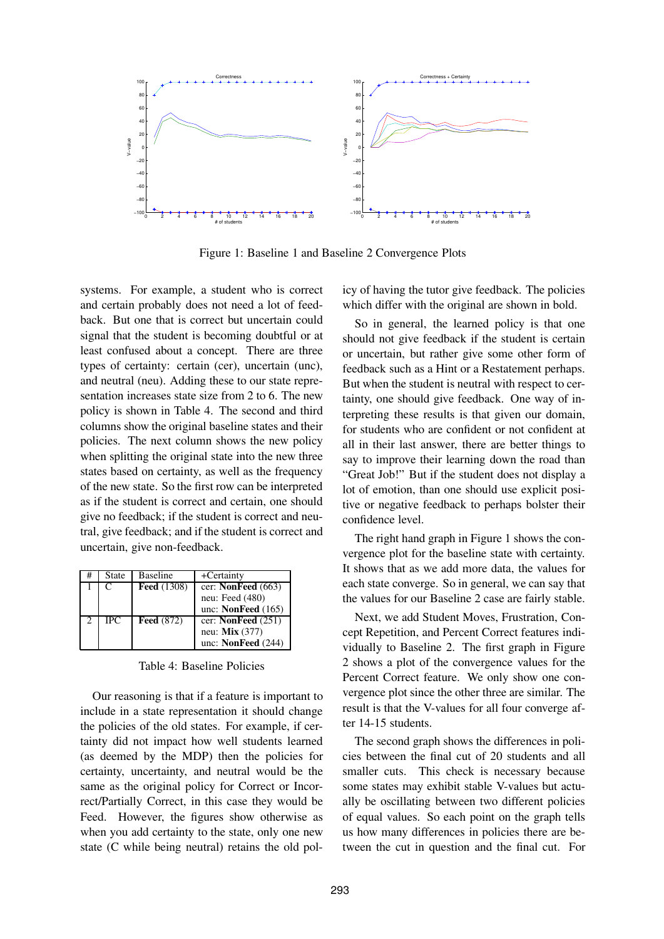

Figure 1: Baseline 1 and Baseline 2 Convergence Plots

systems. For example, a student who is correct and certain probably does not need a lot of feedback. But one that is correct but uncertain could signal that the student is becoming doubtful or at least confused about a concept. There are three types of certainty: certain (cer), uncertain (unc), and neutral (neu). Adding these to our state representation increases state size from 2 to 6. The new policy is shown in Table 4. The second and third columns show the original baseline states and their policies. The next column shows the new policy when splitting the original state into the new three states based on certainty, as well as the frequency of the new state. So the first row can be interpreted as if the student is correct and certain, one should give no feedback; if the student is correct and neutral, give feedback; and if the student is correct and uncertain, give non-feedback.

| State | Baseline           | +Certainty           |
|-------|--------------------|----------------------|
| C     | <b>Feed</b> (1308) | cer: NonFeed $(663)$ |
|       |                    | neu: Feed (480)      |
|       |                    | unc: NonFeed $(165)$ |
| IPC   | <b>Feed</b> (872)  | cer: NonFeed $(251)$ |
|       |                    | neu: $Mix(377)$      |
|       |                    | unc: NonFeed $(244)$ |

Table 4: Baseline Policies

Our reasoning is that if a feature is important to include in a state representation it should change the policies of the old states. For example, if certainty did not impact how well students learned (as deemed by the MDP) then the policies for certainty, uncertainty, and neutral would be the same as the original policy for Correct or Incorrect/Partially Correct, in this case they would be Feed. However, the figures show otherwise as when you add certainty to the state, only one new state (C while being neutral) retains the old policy of having the tutor give feedback. The policies which differ with the original are shown in bold.

So in general, the learned policy is that one should not give feedback if the student is certain or uncertain, but rather give some other form of feedback such as a Hint or a Restatement perhaps. But when the student is neutral with respect to certainty, one should give feedback. One way of interpreting these results is that given our domain, for students who are confident or not confident at all in their last answer, there are better things to say to improve their learning down the road than "Great Job!" But if the student does not display a lot of emotion, than one should use explicit positive or negative feedback to perhaps bolster their confidence level.

The right hand graph in Figure 1 shows the convergence plot for the baseline state with certainty. It shows that as we add more data, the values for each state converge. So in general, we can say that the values for our Baseline 2 case are fairly stable.

Next, we add Student Moves, Frustration, Concept Repetition, and Percent Correct features individually to Baseline 2. The first graph in Figure 2 shows a plot of the convergence values for the Percent Correct feature. We only show one convergence plot since the other three are similar. The result is that the V-values for all four converge after 14-15 students.

The second graph shows the differences in policies between the final cut of 20 students and all smaller cuts. This check is necessary because some states may exhibit stable V-values but actually be oscillating between two different policies of equal values. So each point on the graph tells us how many differences in policies there are between the cut in question and the final cut. For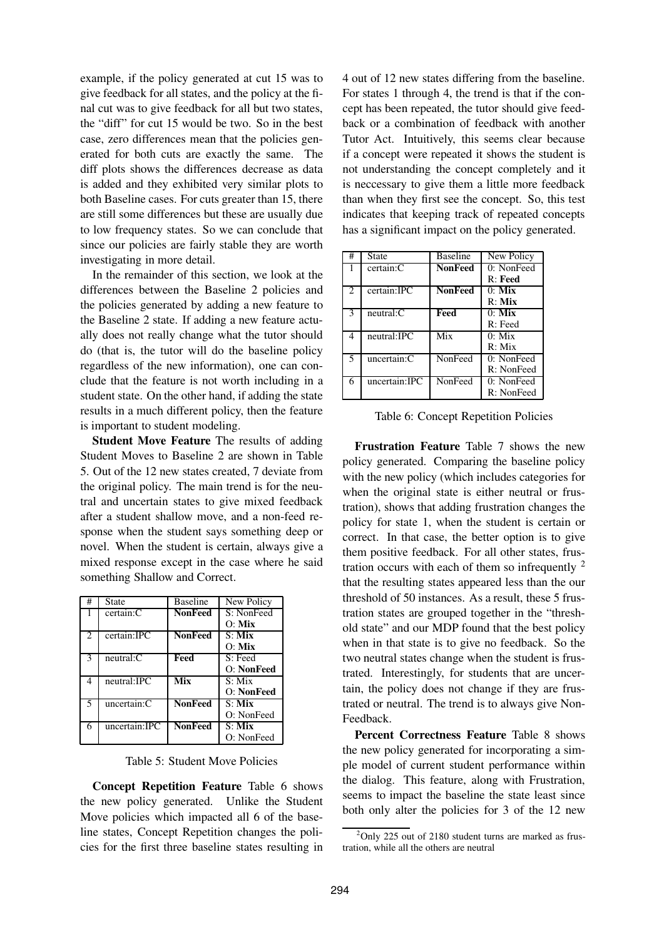example, if the policy generated at cut 15 was to give feedback for all states, and the policy at the final cut was to give feedback for all but two states, the "diff" for cut 15 would be two. So in the best case, zero differences mean that the policies generated for both cuts are exactly the same. The diff plots shows the differences decrease as data is added and they exhibited very similar plots to both Baseline cases. For cuts greater than 15, there are still some differences but these are usually due to low frequency states. So we can conclude that since our policies are fairly stable they are worth investigating in more detail.

In the remainder of this section, we look at the differences between the Baseline 2 policies and the policies generated by adding a new feature to the Baseline 2 state. If adding a new feature actually does not really change what the tutor should do (that is, the tutor will do the baseline policy regardless of the new information), one can conclude that the feature is not worth including in a student state. On the other hand, if adding the state results in a much different policy, then the feature is important to student modeling.

**Student Move Feature** The results of adding Student Moves to Baseline 2 are shown in Table 5. Out of the 12 new states created, 7 deviate from the original policy. The main trend is for the neutral and uncertain states to give mixed feedback after a student shallow move, and a non-feed response when the student says something deep or novel. When the student is certain, always give a mixed response except in the case where he said something Shallow and Correct.

| #                           | State         | <b>Baseline</b>            | New Policy          |
|-----------------------------|---------------|----------------------------|---------------------|
|                             | certain:C     | <b>NonFeed</b>             | S: NonFeed          |
|                             |               |                            | $O:$ Mix            |
| $\mathcal{D}_{\mathcal{L}}$ | certain:IPC   | <b>NonFeed</b>             | $S:$ Mix            |
|                             |               |                            | $O:$ Mix            |
| 3                           | neutral: C    | Feed                       | S: Feed             |
|                             |               |                            | O: NonFeed          |
| 4                           | neutral:IPC   | $\overline{\mathbf{M}}$ ix | $S: Mi\overline{x}$ |
|                             |               |                            | O: NonFeed          |
| 5                           | uncertain:C   | <b>NonFeed</b>             | $S:$ Mix            |
|                             |               |                            | O: NonFeed          |
| 6                           | uncertain:IPC | <b>NonFeed</b>             | $S:$ Mix            |
|                             |               |                            | O: NonFeed          |

Table 5: Student Move Policies

**Concept Repetition Feature** Table 6 shows the new policy generated. Unlike the Student Move policies which impacted all 6 of the baseline states, Concept Repetition changes the policies for the first three baseline states resulting in

4 out of 12 new states differing from the baseline. For states 1 through 4, the trend is that if the concept has been repeated, the tutor should give feedback or a combination of feedback with another Tutor Act. Intuitively, this seems clear because if a concept were repeated it shows the student is not understanding the concept completely and it is neccessary to give them a little more feedback than when they first see the concept. So, this test indicates that keeping track of repeated concepts has a significant impact on the policy generated.

| #              | <b>State</b>  | <b>Baseline</b> | New Policy |
|----------------|---------------|-----------------|------------|
|                | certain:C     | <b>NonFeed</b>  | 0: NonFeed |
|                |               |                 | $R:$ Feed  |
| $\mathfrak{D}$ | certain:IPC   | <b>NonFeed</b>  | $0:$ Mix   |
|                |               |                 | $R:$ Mix   |
| 3              | neutral: C    | Feed            | $0:$ Mix   |
|                |               |                 | $R:$ Feed  |
|                | neutral: IPC  | Mix             | $0:$ Mix   |
|                |               |                 | R: Mix     |
| 5              | uncertain:C   | NonFeed         | 0: NonFeed |
|                |               |                 | R: NonFeed |
| 6              | uncertain:IPC | NonFeed         | 0: NonFeed |
|                |               |                 | R: NonFeed |

Table 6: Concept Repetition Policies

**Frustration Feature** Table 7 shows the new policy generated. Comparing the baseline policy with the new policy (which includes categories for when the original state is either neutral or frustration), shows that adding frustration changes the policy for state 1, when the student is certain or correct. In that case, the better option is to give them positive feedback. For all other states, frustration occurs with each of them so infrequently  $2$ that the resulting states appeared less than the our threshold of 50 instances. As a result, these 5 frustration states are grouped together in the "threshold state" and our MDP found that the best policy when in that state is to give no feedback. So the two neutral states change when the student is frustrated. Interestingly, for students that are uncertain, the policy does not change if they are frustrated or neutral. The trend is to always give Non-Feedback.

**Percent Correctness Feature** Table 8 shows the new policy generated for incorporating a simple model of current student performance within the dialog. This feature, along with Frustration, seems to impact the baseline the state least since both only alter the policies for 3 of the 12 new

 $^{2}$ Only 225 out of 2180 student turns are marked as frustration, while all the others are neutral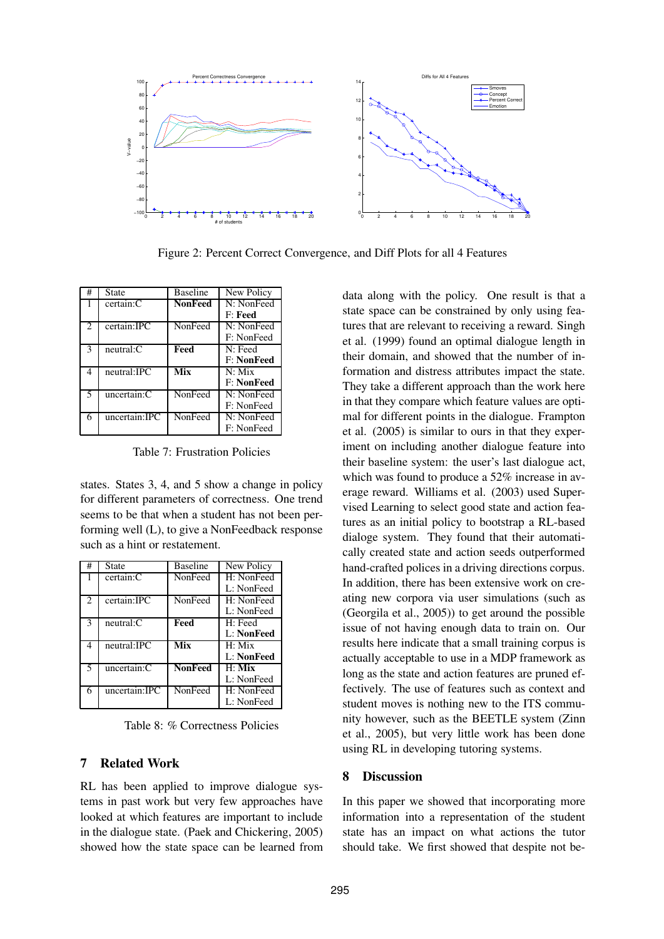

Figure 2: Percent Correct Convergence, and Diff Plots for all 4 Features

| #                           | State          | <b>Baseline</b> | New Policy        |
|-----------------------------|----------------|-----------------|-------------------|
|                             | certain:C      | <b>NonFeed</b>  | N: NonFeed        |
|                             |                |                 | F: Feed           |
| $\mathcal{D}_{\mathcal{L}}$ | certain:IPC    | NonFeed         | N: NonFeed        |
|                             |                |                 | F: NonFeed        |
| 3                           | $neutral:$ $C$ | Feed            | N: Feed           |
|                             |                |                 | <b>F: NonFeed</b> |
| 4                           | neutral: IPC   | Mix             | $N:$ Mix          |
|                             |                |                 | <b>F: NonFeed</b> |
| 5                           | uncertain:C    | NonFeed         | N: NonFeed        |
|                             |                |                 | F: NonFeed        |
| 6                           | uncertain:JPC  | NonFeed         | N: NonFeed        |
|                             |                |                 | F: NonFeed        |

Table 7: Frustration Policies

states. States 3, 4, and 5 show a change in policy for different parameters of correctness. One trend seems to be that when a student has not been performing well (L), to give a NonFeedback response such as a hint or restatement.

| #              | State          | <b>Baseline</b> | New Policy |
|----------------|----------------|-----------------|------------|
|                | certain:C      | NonFeed         | H: NonFeed |
|                |                |                 | L: NonFeed |
| $\mathfrak{D}$ | certain:IPC    | NonFeed         | H: NonFeed |
|                |                |                 | L: NonFeed |
| 3              | $neutral:$ $C$ | <b>Feed</b>     | H: Feed    |
|                |                |                 | L: NonFeed |
| $\overline{4}$ | neutral:IPC    | Mix             | $H:$ Mix   |
|                |                |                 | L: NonFeed |
| 5              | uncertain:C    | <b>NonFeed</b>  | $H:$ Mix   |
|                |                |                 | L: NonFeed |
| 6              | uncertain:IPC  | NonFeed         | H: NonFeed |
|                |                |                 | L: NonFeed |

Table 8: % Correctness Policies

# **7 Related Work**

RL has been applied to improve dialogue systems in past work but very few approaches have looked at which features are important to include in the dialogue state. (Paek and Chickering, 2005) showed how the state space can be learned from

data along with the policy. One result is that a state space can be constrained by only using features that are relevant to receiving a reward. Singh et al. (1999) found an optimal dialogue length in their domain, and showed that the number of information and distress attributes impact the state. They take a different approach than the work here in that they compare which feature values are optimal for different points in the dialogue. Frampton et al. (2005) is similar to ours in that they experiment on including another dialogue feature into their baseline system: the user's last dialogue act, which was found to produce a 52% increase in average reward. Williams et al. (2003) used Supervised Learning to select good state and action features as an initial policy to bootstrap a RL-based dialoge system. They found that their automatically created state and action seeds outperformed hand-crafted polices in a driving directions corpus. In addition, there has been extensive work on creating new corpora via user simulations (such as (Georgila et al., 2005)) to get around the possible issue of not having enough data to train on. Our results here indicate that a small training corpus is actually acceptable to use in a MDP framework as long as the state and action features are pruned effectively. The use of features such as context and student moves is nothing new to the ITS community however, such as the BEETLE system (Zinn et al., 2005), but very little work has been done using RL in developing tutoring systems.

# **8 Discussion**

In this paper we showed that incorporating more information into a representation of the student state has an impact on what actions the tutor should take. We first showed that despite not be